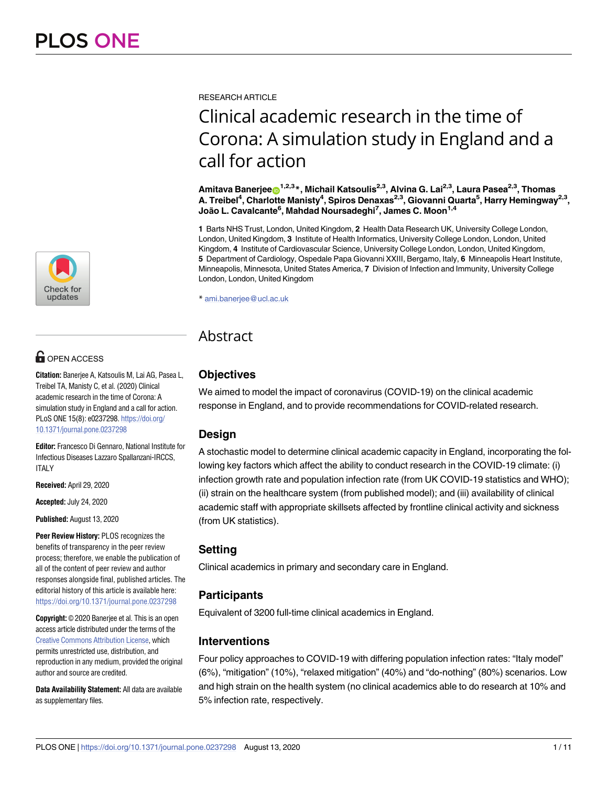

# **OPEN ACCESS**

**Citation:** Banerjee A, Katsoulis M, Lai AG, Pasea L, Treibel TA, Manisty C, et al. (2020) Clinical academic research in the time of Corona: A simulation study in England and a call for action. PLoS ONE 15(8): e0237298. [https://doi.org/](https://doi.org/10.1371/journal.pone.0237298) [10.1371/journal.pone.0237298](https://doi.org/10.1371/journal.pone.0237298)

**Editor:** Francesco Di Gennaro, National Institute for Infectious Diseases Lazzaro Spallanzani-IRCCS, ITALY

**Received:** April 29, 2020

**Accepted:** July 24, 2020

**Published:** August 13, 2020

**Peer Review History:** PLOS recognizes the benefits of transparency in the peer review process; therefore, we enable the publication of all of the content of peer review and author responses alongside final, published articles. The editorial history of this article is available here: <https://doi.org/10.1371/journal.pone.0237298>

**Copyright:** © 2020 Banerjee et al. This is an open access article distributed under the terms of the Creative Commons [Attribution](http://creativecommons.org/licenses/by/4.0/) License, which permits unrestricted use, distribution, and reproduction in any medium, provided the original author and source are credited.

**Data Availability Statement:** All data are available as supplementary files.

RESEARCH ARTICLE

# Clinical academic research in the time of Corona: A simulation study in England and a call for action

**Amitava Banerjee<sup>1,2,3</sup>**<sup>\*</sup>, Michail Katsoulis<sup>2,3</sup>, Alvina G. Lai<sup>2,3</sup>, Laura Pasea<sup>2,3</sup>, Thomas **A. Treibel4 , Charlotte Manisty4 , Spiros Denaxas2,3, Giovanni Quarta5 , Harry Hemingway2,3, João L. Cavalcante6 , Mahdad Noursadeghi7 , James C. Moon1,4**

**1** Barts NHS Trust, London, United Kingdom, **2** Health Data Research UK, University College London, London, United Kingdom, **3** Institute of Health Informatics, University College London, London, United Kingdom, **4** Institute of Cardiovascular Science, University College London, London, United Kingdom, **5** Department of Cardiology, Ospedale Papa Giovanni XXIII, Bergamo, Italy, **6** Minneapolis Heart Institute, Minneapolis, Minnesota, United States America, **7** Division of Infection and Immunity, University College London, London, United Kingdom

\* ami.banerjee@ucl.ac.uk

## Abstract

## **Objectives**

We aimed to model the impact of coronavirus (COVID-19) on the clinical academic response in England, and to provide recommendations for COVID-related research.

## **Design**

A stochastic model to determine clinical academic capacity in England, incorporating the following key factors which affect the ability to conduct research in the COVID-19 climate: (i) infection growth rate and population infection rate (from UK COVID-19 statistics and WHO); (ii) strain on the healthcare system (from published model); and (iii) availability of clinical academic staff with appropriate skillsets affected by frontline clinical activity and sickness (from UK statistics).

## **Setting**

Clinical academics in primary and secondary care in England.

## **Participants**

Equivalent of 3200 full-time clinical academics in England.

## **Interventions**

Four policy approaches to COVID-19 with differing population infection rates: "Italy model" (6%), "mitigation" (10%), "relaxed mitigation" (40%) and "do-nothing" (80%) scenarios. Low and high strain on the health system (no clinical academics able to do research at 10% and 5% infection rate, respectively.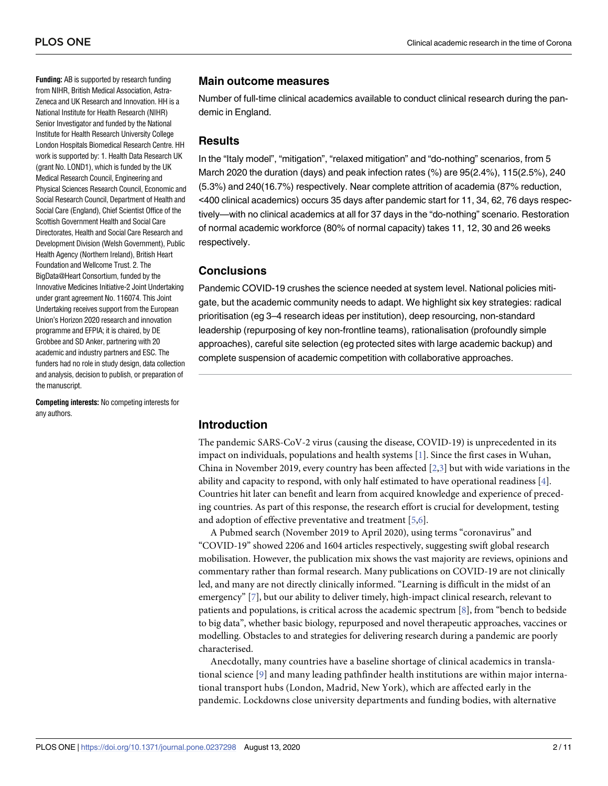<span id="page-1-0"></span>**Funding:** AB is supported by research funding from NIHR, British Medical Association, Astra-Zeneca and UK Research and Innovation. HH is a National Institute for Health Research (NIHR) Senior Investigator and funded by the National Institute for Health Research University College London Hospitals Biomedical Research Centre. HH work is supported by: 1. Health Data Research UK (grant No. LOND1), which is funded by the UK Medical Research Council, Engineering and Physical Sciences Research Council, Economic and Social Research Council, Department of Health and Social Care (England), Chief Scientist Office of the Scottish Government Health and Social Care Directorates, Health and Social Care Research and Development Division (Welsh Government), Public Health Agency (Northern Ireland), British Heart Foundation and Wellcome Trust. 2. The BigData@Heart Consortium, funded by the Innovative Medicines Initiative-2 Joint Undertaking under grant agreement No. 116074. This Joint Undertaking receives support from the European Union's Horizon 2020 research and innovation programme and EFPIA; it is chaired, by DE Grobbee and SD Anker, partnering with 20 academic and industry partners and ESC. The funders had no role in study design, data collection and analysis, decision to publish, or preparation of the manuscript.

**Competing interests:** No competing interests for any authors.

#### **Main outcome measures**

Number of full-time clinical academics available to conduct clinical research during the pandemic in England.

#### **Results**

In the "Italy model", "mitigation", "relaxed mitigation" and "do-nothing" scenarios, from 5 March 2020 the duration (days) and peak infection rates (%) are 95(2.4%), 115(2.5%), 240 (5.3%) and 240(16.7%) respectively. Near complete attrition of academia (87% reduction, <400 clinical academics) occurs 35 days after pandemic start for 11, 34, 62, 76 days respectively—with no clinical academics at all for 37 days in the "do-nothing" scenario. Restoration of normal academic workforce (80% of normal capacity) takes 11, 12, 30 and 26 weeks respectively.

#### **Conclusions**

Pandemic COVID-19 crushes the science needed at system level. National policies mitigate, but the academic community needs to adapt. We highlight six key strategies: radical prioritisation (eg 3–4 research ideas per institution), deep resourcing, non-standard leadership (repurposing of key non-frontline teams), rationalisation (profoundly simple approaches), careful site selection (eg protected sites with large academic backup) and complete suspension of academic competition with collaborative approaches.

#### **Introduction**

The pandemic SARS-CoV-2 virus (causing the disease, COVID-19) is unprecedented in its impact on individuals, populations and health systems [\[1](#page-9-0)]. Since the first cases in Wuhan, China in November 2019, every country has been affected [\[2,3](#page-9-0)] but with wide variations in the ability and capacity to respond, with only half estimated to have operational readiness [\[4\]](#page-9-0). Countries hit later can benefit and learn from acquired knowledge and experience of preceding countries. As part of this response, the research effort is crucial for development, testing and adoption of effective preventative and treatment [\[5,6\]](#page-9-0).

A Pubmed search (November 2019 to April 2020), using terms "coronavirus" and "COVID-19" showed 2206 and 1604 articles respectively, suggesting swift global research mobilisation. However, the publication mix shows the vast majority are reviews, opinions and commentary rather than formal research. Many publications on COVID-19 are not clinically led, and many are not directly clinically informed. "Learning is difficult in the midst of an emergency" [\[7\]](#page-9-0), but our ability to deliver timely, high-impact clinical research, relevant to patients and populations, is critical across the academic spectrum [\[8\]](#page-9-0), from "bench to bedside to big data", whether basic biology, repurposed and novel therapeutic approaches, vaccines or modelling. Obstacles to and strategies for delivering research during a pandemic are poorly characterised.

Anecdotally, many countries have a baseline shortage of clinical academics in translational science [[9\]](#page-9-0) and many leading pathfinder health institutions are within major international transport hubs (London, Madrid, New York), which are affected early in the pandemic. Lockdowns close university departments and funding bodies, with alternative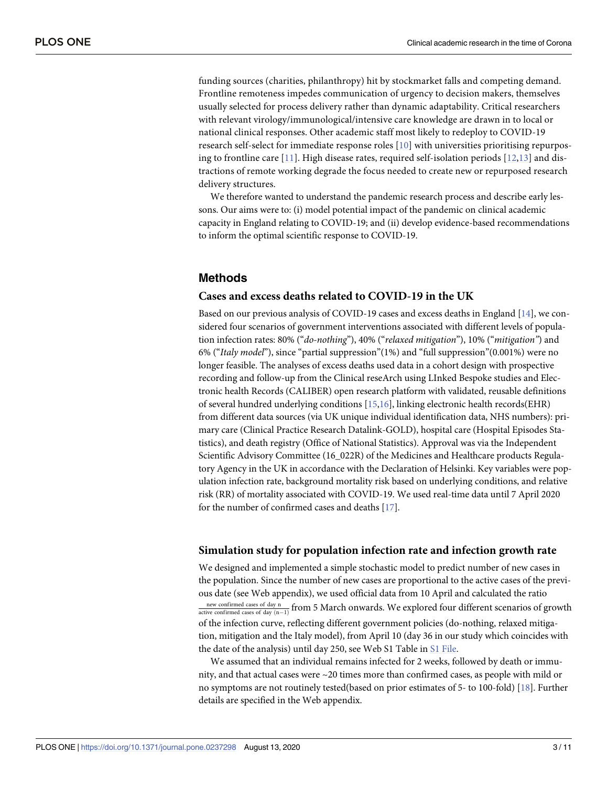<span id="page-2-0"></span>funding sources (charities, philanthropy) hit by stockmarket falls and competing demand. Frontline remoteness impedes communication of urgency to decision makers, themselves usually selected for process delivery rather than dynamic adaptability. Critical researchers with relevant virology/immunological/intensive care knowledge are drawn in to local or national clinical responses. Other academic staff most likely to redeploy to COVID-19 research self-select for immediate response roles [[10\]](#page-9-0) with universities prioritising repurposing to frontline care  $[11]$  $[11]$  $[11]$ . High disease rates, required self-isolation periods  $[12,13]$  $[12,13]$  $[12,13]$  $[12,13]$  $[12,13]$  and distractions of remote working degrade the focus needed to create new or repurposed research delivery structures.

We therefore wanted to understand the pandemic research process and describe early lessons. Our aims were to: (i) model potential impact of the pandemic on clinical academic capacity in England relating to COVID-19; and (ii) develop evidence-based recommendations to inform the optimal scientific response to COVID-19.

#### **Methods**

#### **Cases and excess deaths related to COVID-19 in the UK**

Based on our previous analysis of COVID-19 cases and excess deaths in England [\[14\]](#page-9-0), we considered four scenarios of government interventions associated with different levels of population infection rates: 80% ("*do-nothing*"), 40% ("*relaxed mitigation*"), 10% ("*mitigation"*) and 6% ("*Italy model*"), since "partial suppression"(1%) and "full suppression"(0.001%) were no longer feasible. The analyses of excess deaths used data in a cohort design with prospective recording and follow-up from the Clinical reseArch using LInked Bespoke studies and Electronic health Records (CALIBER) open research platform with validated, reusable definitions of several hundred underlying conditions [\[15,16\]](#page-9-0), linking electronic health records(EHR) from different data sources (via UK unique individual identification data, NHS numbers): primary care (Clinical Practice Research Datalink-GOLD), hospital care (Hospital Episodes Statistics), and death registry (Office of National Statistics). Approval was via the Independent Scientific Advisory Committee (16\_022R) of the Medicines and Healthcare products Regulatory Agency in the UK in accordance with the Declaration of Helsinki. Key variables were population infection rate, background mortality risk based on underlying conditions, and relative risk (RR) of mortality associated with COVID-19. We used real-time data until 7 April 2020 for the number of confirmed cases and deaths [[17](#page-10-0)].

#### **Simulation study for population infection rate and infection growth rate**

We designed and implemented a simple stochastic model to predict number of new cases in the population. Since the number of new cases are proportional to the active cases of the previous date (see Web appendix), we used official data from 10 April and calculated the ratio new confirmed cases of day  $n_{-1}$  from 5 March onwards. We explored four different scenarios of growth of the infection curve, reflecting different government policies (do-nothing, relaxed mitigation, mitigation and the Italy model), from April 10 (day 36 in our study which coincides with the date of the analysis) until day 250, see Web S1 Table in S1 [File.](#page-8-0)

We assumed that an individual remains infected for 2 weeks, followed by death or immunity, and that actual cases were  $\sim$  20 times more than confirmed cases, as people with mild or no symptoms are not routinely tested(based on prior estimates of 5- to 100-fold) [\[18\]](#page-10-0). Further details are specified in the Web appendix.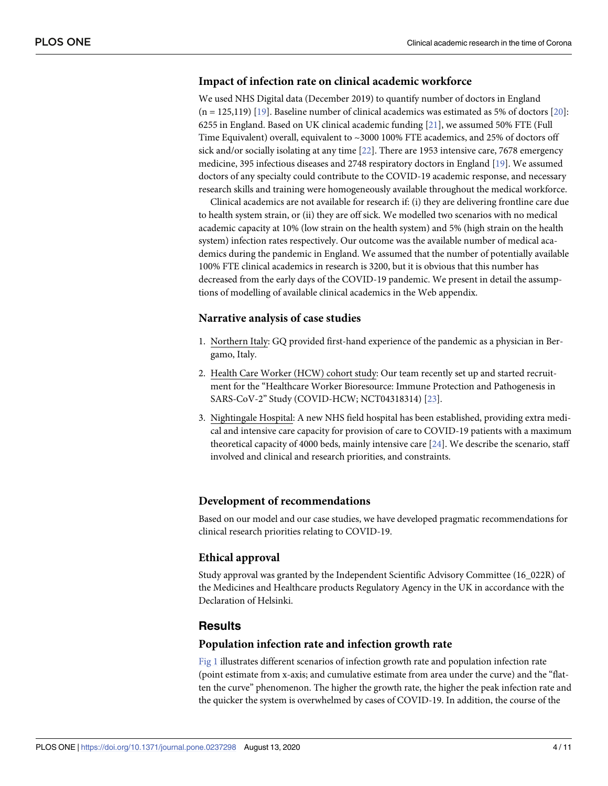#### <span id="page-3-0"></span>**Impact of infection rate on clinical academic workforce**

We used NHS Digital data (December 2019) to quantify number of doctors in England  $(n = 125, 119)$  $(n = 125, 119)$  $(n = 125, 119)$  [19]. Baseline number of clinical academics was estimated as 5% of doctors [[20](#page-10-0)]: 6255 in England. Based on UK clinical academic funding [[21](#page-10-0)], we assumed 50% FTE (Full Time Equivalent) overall, equivalent to ~3000 100% FTE academics, and 25% of doctors off sick and/or socially isolating at any time [[22](#page-10-0)]. There are 1953 intensive care, 7678 emergency medicine, 395 infectious diseases and 2748 respiratory doctors in England [\[19\]](#page-10-0). We assumed doctors of any specialty could contribute to the COVID-19 academic response, and necessary research skills and training were homogeneously available throughout the medical workforce.

Clinical academics are not available for research if: (i) they are delivering frontline care due to health system strain, or (ii) they are off sick. We modelled two scenarios with no medical academic capacity at 10% (low strain on the health system) and 5% (high strain on the health system) infection rates respectively. Our outcome was the available number of medical academics during the pandemic in England. We assumed that the number of potentially available 100% FTE clinical academics in research is 3200, but it is obvious that this number has decreased from the early days of the COVID-19 pandemic. We present in detail the assumptions of modelling of available clinical academics in the Web appendix.

#### **Narrative analysis of case studies**

- 1. Northern Italy: GQ provided first-hand experience of the pandemic as a physician in Bergamo, Italy.
- 2. Health Care Worker (HCW) cohort study: Our team recently set up and started recruitment for the "Healthcare Worker Bioresource: Immune Protection and Pathogenesis in SARS-CoV-2" Study (COVID-HCW; NCT04318314) [\[23\]](#page-10-0).
- 3. Nightingale Hospital: A new NHS field hospital has been established, providing extra medical and intensive care capacity for provision of care to COVID-19 patients with a maximum theoretical capacity of 4000 beds, mainly intensive care [\[24\]](#page-10-0). We describe the scenario, staff involved and clinical and research priorities, and constraints.

#### **Development of recommendations**

Based on our model and our case studies, we have developed pragmatic recommendations for clinical research priorities relating to COVID-19.

#### **Ethical approval**

Study approval was granted by the Independent Scientific Advisory Committee (16\_022R) of the Medicines and Healthcare products Regulatory Agency in the UK in accordance with the Declaration of Helsinki.

#### **Results**

#### **Population infection rate and infection growth rate**

[Fig](#page-4-0) 1 illustrates different scenarios of infection growth rate and population infection rate (point estimate from x-axis; and cumulative estimate from area under the curve) and the "flatten the curve" phenomenon. The higher the growth rate, the higher the peak infection rate and the quicker the system is overwhelmed by cases of COVID-19. In addition, the course of the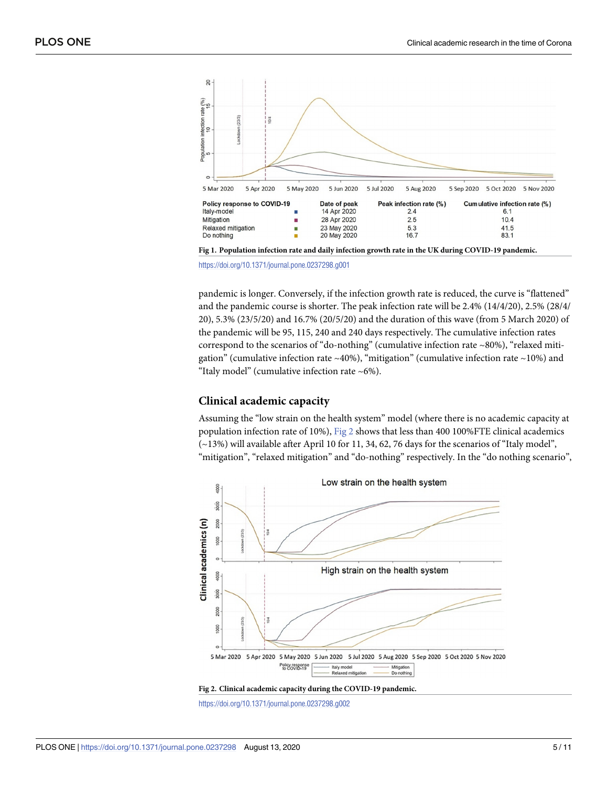<span id="page-4-0"></span>



<https://doi.org/10.1371/journal.pone.0237298.g001>

pandemic is longer. Conversely, if the infection growth rate is reduced, the curve is "flattened" and the pandemic course is shorter. The peak infection rate will be 2.4% (14/4/20), 2.5% (28/4/ 20), 5.3% (23/5/20) and 16.7% (20/5/20) and the duration of this wave (from 5 March 2020) of the pandemic will be 95, 115, 240 and 240 days respectively. The cumulative infection rates correspond to the scenarios of "do-nothing" (cumulative infection rate ~80%), "relaxed mitigation" (cumulative infection rate  $~40\%$ ), "mitigation" (cumulative infection rate  $~10\%$ ) and "Italy model" (cumulative infection rate ~6%).

#### **Clinical academic capacity**

Assuming the "low strain on the health system" model (where there is no academic capacity at population infection rate of 10%), Fig 2 shows that less than 400 100%FTE clinical academics (~13%) will available after April 10 for 11, 34, 62, 76 days for the scenarios of "Italy model", "mitigation", "relaxed mitigation" and "do-nothing" respectively. In the "do nothing scenario",





<https://doi.org/10.1371/journal.pone.0237298.g002>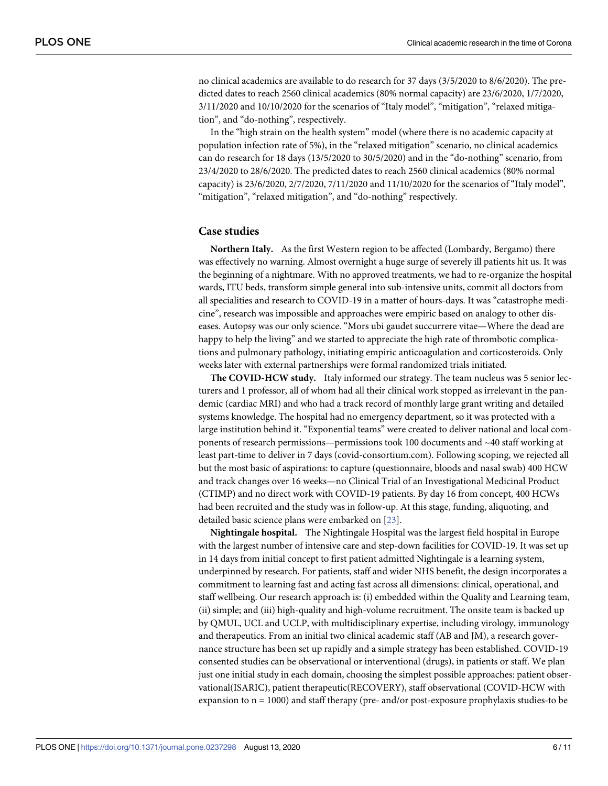no clinical academics are available to do research for 37 days (3/5/2020 to 8/6/2020). The predicted dates to reach 2560 clinical academics (80% normal capacity) are 23/6/2020, 1/7/2020, 3/11/2020 and 10/10/2020 for the scenarios of "Italy model", "mitigation", "relaxed mitigation", and "do-nothing", respectively.

In the "high strain on the health system" model (where there is no academic capacity at population infection rate of 5%), in the "relaxed mitigation" scenario, no clinical academics can do research for 18 days (13/5/2020 to 30/5/2020) and in the "do-nothing" scenario, from 23/4/2020 to 28/6/2020. The predicted dates to reach 2560 clinical academics (80% normal capacity) is 23/6/2020, 2/7/2020, 7/11/2020 and 11/10/2020 for the scenarios of "Italy model", "mitigation", "relaxed mitigation", and "do-nothing" respectively.

#### **Case studies**

**Northern Italy.** As the first Western region to be affected (Lombardy, Bergamo) there was effectively no warning. Almost overnight a huge surge of severely ill patients hit us. It was the beginning of a nightmare. With no approved treatments, we had to re-organize the hospital wards, ITU beds, transform simple general into sub-intensive units, commit all doctors from all specialities and research to COVID-19 in a matter of hours-days. It was "catastrophe medicine", research was impossible and approaches were empiric based on analogy to other diseases. Autopsy was our only science. "Mors ubi gaudet succurrere vitae—Where the dead are happy to help the living" and we started to appreciate the high rate of thrombotic complications and pulmonary pathology, initiating empiric anticoagulation and corticosteroids. Only weeks later with external partnerships were formal randomized trials initiated.

**The COVID-HCW study.** Italy informed our strategy. The team nucleus was 5 senior lecturers and 1 professor, all of whom had all their clinical work stopped as irrelevant in the pandemic (cardiac MRI) and who had a track record of monthly large grant writing and detailed systems knowledge. The hospital had no emergency department, so it was protected with a large institution behind it. "Exponential teams" were created to deliver national and local components of research permissions—permissions took 100 documents and  $\sim$ 40 staff working at least part-time to deliver in 7 days (covid-consortium.com). Following scoping, we rejected all but the most basic of aspirations: to capture (questionnaire, bloods and nasal swab) 400 HCW and track changes over 16 weeks—no Clinical Trial of an Investigational Medicinal Product (CTIMP) and no direct work with COVID-19 patients. By day 16 from concept, 400 HCWs had been recruited and the study was in follow-up. At this stage, funding, aliquoting, and detailed basic science plans were embarked on [[23](#page-10-0)].

**Nightingale hospital.** The Nightingale Hospital was the largest field hospital in Europe with the largest number of intensive care and step-down facilities for COVID-19. It was set up in 14 days from initial concept to first patient admitted Nightingale is a learning system, underpinned by research. For patients, staff and wider NHS benefit, the design incorporates a commitment to learning fast and acting fast across all dimensions: clinical, operational, and staff wellbeing. Our research approach is: (i) embedded within the Quality and Learning team, (ii) simple; and (iii) high-quality and high-volume recruitment. The onsite team is backed up by QMUL, UCL and UCLP, with multidisciplinary expertise, including virology, immunology and therapeutics. From an initial two clinical academic staff (AB and JM), a research governance structure has been set up rapidly and a simple strategy has been established. COVID-19 consented studies can be observational or interventional (drugs), in patients or staff. We plan just one initial study in each domain, choosing the simplest possible approaches: patient observational(ISARIC), patient therapeutic(RECOVERY), staff observational (COVID-HCW with expansion to  $n = 1000$ ) and staff therapy (pre- and/or post-exposure prophylaxis studies-to be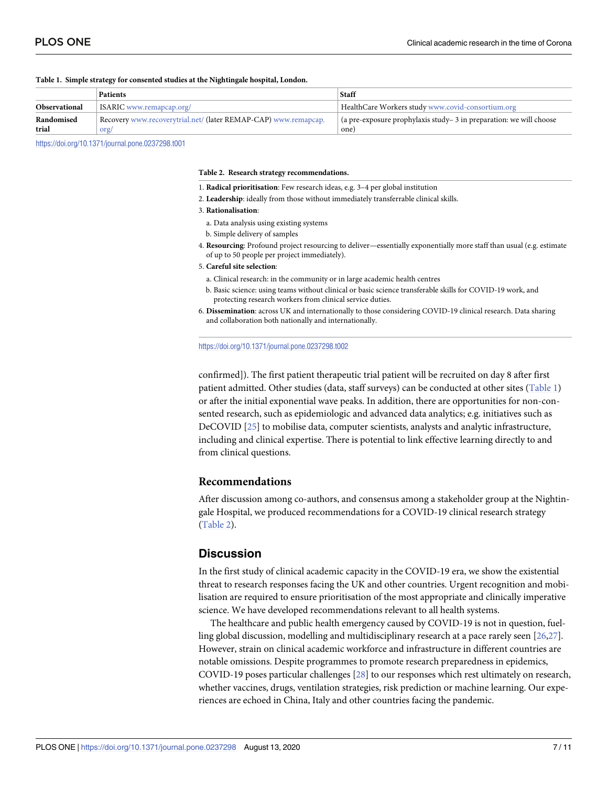#### <span id="page-6-0"></span>**Table 1. Simple strategy for consented studies at the Nightingale hospital, London.**

|                      | <b>Patients</b>                                                 | Staff                                                                 |
|----------------------|-----------------------------------------------------------------|-----------------------------------------------------------------------|
| <b>Observational</b> | <b>ISARIC</b> www.remapcap.org/                                 | HealthCare Workers study www.covid-consortium.org                     |
| Randomised           | Recovery www.recoverytrial.net/ (later REMAP-CAP) www.remapcap. | (a pre-exposure prophylaxis study– $3$ in preparation: we will choose |
| trial                | org/                                                            | one)                                                                  |

<https://doi.org/10.1371/journal.pone.0237298.t001>

#### **Table 2. Research strategy recommendations.**

- 1. **Radical prioritisation**: Few research ideas, e.g. 3–4 per global institution
- 2. **Leadership**: ideally from those without immediately transferrable clinical skills.
- 3. **Rationalisation**:
	- a. Data analysis using existing systems
	- b. Simple delivery of samples
- 4. **Resourcing**: Profound project resourcing to deliver—essentially exponentially more staff than usual (e.g. estimate of up to 50 people per project immediately).
- 5. **Careful site selection**:
	- a. Clinical research: in the community or in large academic health centres
	- b. Basic science: using teams without clinical or basic science transferable skills for COVID-19 work, and protecting research workers from clinical service duties.
- 6. **Dissemination**: across UK and internationally to those considering COVID-19 clinical research. Data sharing and collaboration both nationally and internationally.

<https://doi.org/10.1371/journal.pone.0237298.t002>

confirmed]). The first patient therapeutic trial patient will be recruited on day 8 after first patient admitted. Other studies (data, staff surveys) can be conducted at other sites (Table 1) or after the initial exponential wave peaks. In addition, there are opportunities for non-consented research, such as epidemiologic and advanced data analytics; e.g. initiatives such as DeCOVID [\[25\]](#page-10-0) to mobilise data, computer scientists, analysts and analytic infrastructure, including and clinical expertise. There is potential to link effective learning directly to and from clinical questions.

#### **Recommendations**

After discussion among co-authors, and consensus among a stakeholder group at the Nightingale Hospital, we produced recommendations for a COVID-19 clinical research strategy (Table 2).

#### **Discussion**

In the first study of clinical academic capacity in the COVID-19 era, we show the existential threat to research responses facing the UK and other countries. Urgent recognition and mobilisation are required to ensure prioritisation of the most appropriate and clinically imperative science. We have developed recommendations relevant to all health systems.

The healthcare and public health emergency caused by COVID-19 is not in question, fuelling global discussion, modelling and multidisciplinary research at a pace rarely seen [[26,27\]](#page-10-0). However, strain on clinical academic workforce and infrastructure in different countries are notable omissions. Despite programmes to promote research preparedness in epidemics, COVID-19 poses particular challenges [[28](#page-10-0)] to our responses which rest ultimately on research, whether vaccines, drugs, ventilation strategies, risk prediction or machine learning. Our experiences are echoed in China, Italy and other countries facing the pandemic.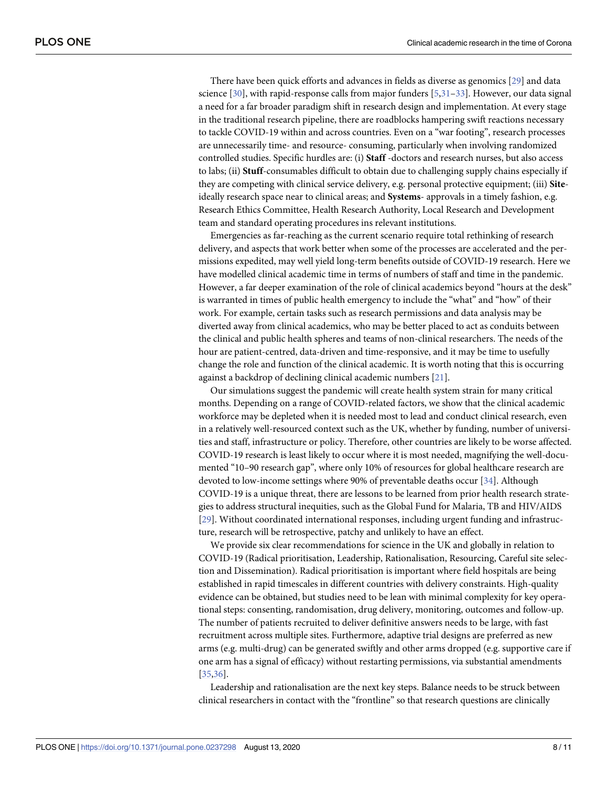<span id="page-7-0"></span>There have been quick efforts and advances in fields as diverse as genomics [\[29\]](#page-10-0) and data science [\[30\]](#page-10-0), with rapid-response calls from major funders [\[5](#page-9-0)[,31–33](#page-10-0)]. However, our data signal a need for a far broader paradigm shift in research design and implementation. At every stage in the traditional research pipeline, there are roadblocks hampering swift reactions necessary to tackle COVID-19 within and across countries. Even on a "war footing", research processes are unnecessarily time- and resource- consuming, particularly when involving randomized controlled studies. Specific hurdles are: (i) **Staff** -doctors and research nurses, but also access to labs; (ii) **Stuff**-consumables difficult to obtain due to challenging supply chains especially if they are competing with clinical service delivery, e.g. personal protective equipment; (iii) **Site**ideally research space near to clinical areas; and **Systems**- approvals in a timely fashion, e.g. Research Ethics Committee, Health Research Authority, Local Research and Development team and standard operating procedures ins relevant institutions.

Emergencies as far-reaching as the current scenario require total rethinking of research delivery, and aspects that work better when some of the processes are accelerated and the permissions expedited, may well yield long-term benefits outside of COVID-19 research. Here we have modelled clinical academic time in terms of numbers of staff and time in the pandemic. However, a far deeper examination of the role of clinical academics beyond "hours at the desk" is warranted in times of public health emergency to include the "what" and "how" of their work. For example, certain tasks such as research permissions and data analysis may be diverted away from clinical academics, who may be better placed to act as conduits between the clinical and public health spheres and teams of non-clinical researchers. The needs of the hour are patient-centred, data-driven and time-responsive, and it may be time to usefully change the role and function of the clinical academic. It is worth noting that this is occurring against a backdrop of declining clinical academic numbers [\[21\]](#page-10-0).

Our simulations suggest the pandemic will create health system strain for many critical months. Depending on a range of COVID-related factors, we show that the clinical academic workforce may be depleted when it is needed most to lead and conduct clinical research, even in a relatively well-resourced context such as the UK, whether by funding, number of universities and staff, infrastructure or policy. Therefore, other countries are likely to be worse affected. COVID-19 research is least likely to occur where it is most needed, magnifying the well-documented "10–90 research gap", where only 10% of resources for global healthcare research are devoted to low-income settings where 90% of preventable deaths occur [\[34\]](#page-10-0). Although COVID-19 is a unique threat, there are lessons to be learned from prior health research strategies to address structural inequities, such as the Global Fund for Malaria, TB and HIV/AIDS [\[29\]](#page-10-0). Without coordinated international responses, including urgent funding and infrastructure, research will be retrospective, patchy and unlikely to have an effect.

We provide six clear recommendations for science in the UK and globally in relation to COVID-19 (Radical prioritisation, Leadership, Rationalisation, Resourcing, Careful site selection and Dissemination). Radical prioritisation is important where field hospitals are being established in rapid timescales in different countries with delivery constraints. High-quality evidence can be obtained, but studies need to be lean with minimal complexity for key operational steps: consenting, randomisation, drug delivery, monitoring, outcomes and follow-up. The number of patients recruited to deliver definitive answers needs to be large, with fast recruitment across multiple sites. Furthermore, adaptive trial designs are preferred as new arms (e.g. multi-drug) can be generated swiftly and other arms dropped (e.g. supportive care if one arm has a signal of efficacy) without restarting permissions, via substantial amendments [\[35,36\]](#page-10-0).

Leadership and rationalisation are the next key steps. Balance needs to be struck between clinical researchers in contact with the "frontline" so that research questions are clinically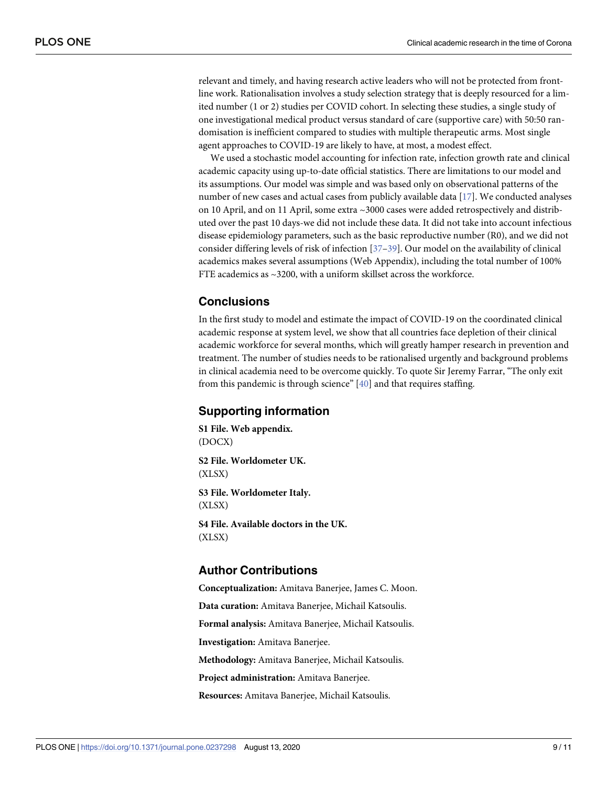<span id="page-8-0"></span>relevant and timely, and having research active leaders who will not be protected from frontline work. Rationalisation involves a study selection strategy that is deeply resourced for a limited number (1 or 2) studies per COVID cohort. In selecting these studies, a single study of one investigational medical product versus standard of care (supportive care) with 50:50 randomisation is inefficient compared to studies with multiple therapeutic arms. Most single agent approaches to COVID-19 are likely to have, at most, a modest effect.

We used a stochastic model accounting for infection rate, infection growth rate and clinical academic capacity using up-to-date official statistics. There are limitations to our model and its assumptions. Our model was simple and was based only on observational patterns of the number of new cases and actual cases from publicly available data [[17](#page-10-0)]. We conducted analyses on 10 April, and on 11 April, some extra ~3000 cases were added retrospectively and distributed over the past 10 days-we did not include these data. It did not take into account infectious disease epidemiology parameters, such as the basic reproductive number (R0), and we did not consider differing levels of risk of infection [[37–39\]](#page-10-0). Our model on the availability of clinical academics makes several assumptions (Web Appendix), including the total number of 100% FTE academics as ~3200, with a uniform skillset across the workforce.

#### **Conclusions**

In the first study to model and estimate the impact of COVID-19 on the coordinated clinical academic response at system level, we show that all countries face depletion of their clinical academic workforce for several months, which will greatly hamper research in prevention and treatment. The number of studies needs to be rationalised urgently and background problems in clinical academia need to be overcome quickly. To quote Sir Jeremy Farrar, "The only exit from this pandemic is through science" [[40](#page-10-0)] and that requires staffing.

#### **Supporting information**

**S1 [File.](http://www.plosone.org/article/fetchSingleRepresentation.action?uri=info:doi/10.1371/journal.pone.0237298.s001) Web appendix.** (DOCX)

**S2 [File.](http://www.plosone.org/article/fetchSingleRepresentation.action?uri=info:doi/10.1371/journal.pone.0237298.s002) Worldometer UK.** (XLSX)

**S3 [File.](http://www.plosone.org/article/fetchSingleRepresentation.action?uri=info:doi/10.1371/journal.pone.0237298.s003) Worldometer Italy.** (XLSX)

**S4 [File.](http://www.plosone.org/article/fetchSingleRepresentation.action?uri=info:doi/10.1371/journal.pone.0237298.s004) Available doctors in the UK.** (XLSX)

#### **Author Contributions**

**Conceptualization:** Amitava Banerjee, James C. Moon. **Data curation:** Amitava Banerjee, Michail Katsoulis. **Formal analysis:** Amitava Banerjee, Michail Katsoulis. **Investigation:** Amitava Banerjee. **Methodology:** Amitava Banerjee, Michail Katsoulis. **Project administration:** Amitava Banerjee. **Resources:** Amitava Banerjee, Michail Katsoulis.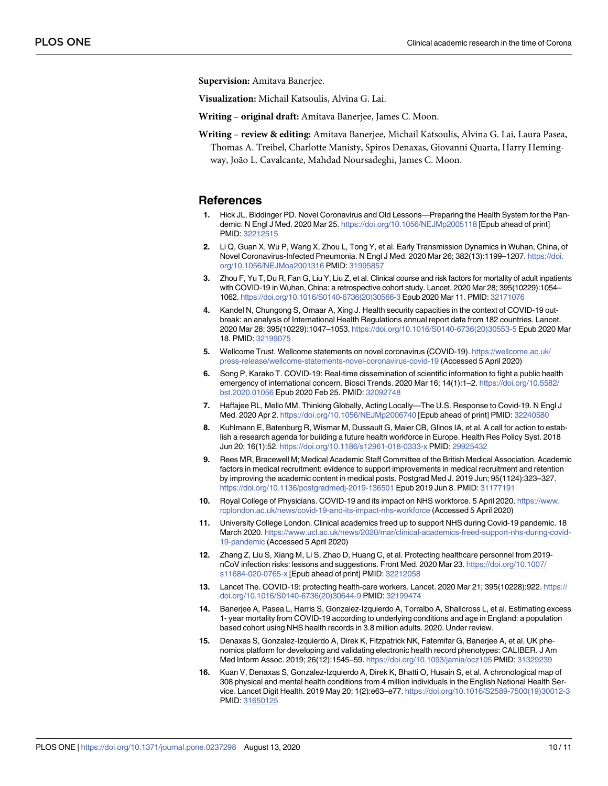<span id="page-9-0"></span>**Supervision:** Amitava Banerjee.

**Visualization:** Michail Katsoulis, Alvina G. Lai.

- **Writing – original draft:** Amitava Banerjee, James C. Moon.
- **Writing – review & editing:** Amitava Banerjee, Michail Katsoulis, Alvina G. Lai, Laura Pasea, Thomas A. Treibel, Charlotte Manisty, Spiros Denaxas, Giovanni Quarta, Harry Hemingway, João L. Cavalcante, Mahdad Noursadeghi, James C. Moon.

#### **References**

- **[1](#page-1-0).** Hick JL, Biddinger PD. Novel Coronavirus and Old Lessons—Preparing the Health System for the Pandemic. N Engl J Med. 2020 Mar 25. <https://doi.org/10.1056/NEJMp2005118> [Epub ahead of print] PMID: [32212515](http://www.ncbi.nlm.nih.gov/pubmed/32212515)
- **[2](#page-1-0).** Li Q, Guan X, Wu P, Wang X, Zhou L, Tong Y, et al. Early Transmission Dynamics in Wuhan, China, of Novel Coronavirus-Infected Pneumonia. N Engl J Med. 2020 Mar 26; 382(13):1199–1207. [https://doi.](https://doi.org/10.1056/NEJMoa2001316) [org/10.1056/NEJMoa2001316](https://doi.org/10.1056/NEJMoa2001316) PMID: [31995857](http://www.ncbi.nlm.nih.gov/pubmed/31995857)
- **[3](#page-1-0).** Zhou F, Yu T, Du R, Fan G, Liu Y, Liu Z, et al. Clinical course and risk factors for mortality of adult inpatients with COVID-19 in Wuhan, China: a retrospective cohort study. Lancet. 2020 Mar 28; 395(10229):1054– 1062. [https://doi.org/10.1016/S0140-6736\(20\)30566-3](https://doi.org/10.1016/S0140-6736%2820%2930566-3) Epub 2020 Mar 11. PMID: [32171076](http://www.ncbi.nlm.nih.gov/pubmed/32171076)
- **[4](#page-1-0).** Kandel N, Chungong S, Omaar A, Xing J. Health security capacities in the context of COVID-19 outbreak: an analysis of International Health Regulations annual report data from 182 countries. Lancet. 2020 Mar 28; 395(10229):1047–1053. [https://doi.org/10.1016/S0140-6736\(20\)30553-5](https://doi.org/10.1016/S0140-6736%2820%2930553-5) Epub 2020 Mar 18. PMID: [32199075](http://www.ncbi.nlm.nih.gov/pubmed/32199075)
- **[5](#page-1-0).** Wellcome Trust. Wellcome statements on novel coronavirus (COVID-19). [https://wellcome.ac.uk/](https://wellcome.ac.uk/press-release/wellcome-statements-novel-coronavirus-covid-19) [press-release/wellcome-statements-novel-coronavirus-covid-19](https://wellcome.ac.uk/press-release/wellcome-statements-novel-coronavirus-covid-19) (Accessed 5 April 2020)
- **[6](#page-1-0).** Song P, Karako T. COVID-19: Real-time dissemination of scientific information to fight a public health emergency of international concern. Biosci Trends. 2020 Mar 16; 14(1):1–2. [https://doi.org/10.5582/](https://doi.org/10.5582/bst.2020.01056) [bst.2020.01056](https://doi.org/10.5582/bst.2020.01056) Epub 2020 Feb 25. PMID: [32092748](http://www.ncbi.nlm.nih.gov/pubmed/32092748)
- **[7](#page-1-0).** Haffajee RL, Mello MM. Thinking Globally, Acting Locally—The U.S. Response to Covid-19. N Engl J Med. 2020 Apr 2. <https://doi.org/10.1056/NEJMp2006740> [Epub ahead of print] PMID: [32240580](http://www.ncbi.nlm.nih.gov/pubmed/32240580)
- **[8](#page-1-0).** Kuhlmann E, Batenburg R, Wismar M, Dussault G, Maier CB, Glinos IA, et al. A call for action to establish a research agenda for building a future health workforce in Europe. Health Res Policy Syst. 2018 Jun 20; 16(1):52. <https://doi.org/10.1186/s12961-018-0333-x> PMID: [29925432](http://www.ncbi.nlm.nih.gov/pubmed/29925432)
- **[9](#page-1-0).** Rees MR, Bracewell M; Medical Academic Staff Committee of the British Medical Association. Academic factors in medical recruitment: evidence to support improvements in medical recruitment and retention by improving the academic content in medical posts. Postgrad Med J. 2019 Jun; 95(1124):323–327. <https://doi.org/10.1136/postgradmedj-2019-136501> Epub 2019 Jun 8. PMID: [31177191](http://www.ncbi.nlm.nih.gov/pubmed/31177191)
- **[10](#page-2-0).** Royal College of Physicians. COVID-19 and its impact on NHS workforce. 5 April 2020. [https://www.](https://www.rcplondon.ac.uk/news/covid-19-and-its-impact-nhs-workforce) [rcplondon.ac.uk/news/covid-19-and-its-impact-nhs-workforce](https://www.rcplondon.ac.uk/news/covid-19-and-its-impact-nhs-workforce) (Accessed 5 April 2020)
- **[11](#page-2-0).** University College London. Clinical academics freed up to support NHS during Covid-19 pandemic. 18 March 2020. [https://www.ucl.ac.uk/news/2020/mar/clinical-academics-freed-support-nhs-during-covid-](https://www.ucl.ac.uk/news/2020/mar/clinical-academics-freed-support-nhs-during-covid-19-pandemic)[19-pandemic](https://www.ucl.ac.uk/news/2020/mar/clinical-academics-freed-support-nhs-during-covid-19-pandemic) (Accessed 5 April 2020)
- **[12](#page-2-0).** Zhang Z, Liu S, Xiang M, Li S, Zhao D, Huang C, et al. Protecting healthcare personnel from 2019 nCoV infection risks: lessons and suggestions. Front Med. 2020 Mar 23. [https://doi.org/10.1007/](https://doi.org/10.1007/s11684-020-0765-x) [s11684-020-0765-x](https://doi.org/10.1007/s11684-020-0765-x) [Epub ahead of print] PMID: [32212058](http://www.ncbi.nlm.nih.gov/pubmed/32212058)
- **[13](#page-2-0).** Lancet The. COVID-19: protecting health-care workers. Lancet. 2020 Mar 21; 395(10228):922. [https://](https://doi.org/10.1016/S0140-6736%2820%2930644-9) [doi.org/10.1016/S0140-6736\(20\)30644-9](https://doi.org/10.1016/S0140-6736%2820%2930644-9) PMID: [32199474](http://www.ncbi.nlm.nih.gov/pubmed/32199474)
- **[14](#page-2-0).** Banerjee A, Pasea L, Harris S, Gonzalez-Izquierdo A, Torralbo A, Shallcross L, et al. Estimating excess 1- year mortality from COVID-19 according to underlying conditions and age in England: a population based cohort using NHS health records in 3.8 million adults. 2020. Under review.
- **[15](#page-2-0).** Denaxas S, Gonzalez-Izquierdo A, Direk K, Fitzpatrick NK, Fatemifar G, Banerjee A, et al. UK phenomics platform for developing and validating electronic health record phenotypes: CALIBER. J Am Med Inform Assoc. 2019; 26(12):1545–59. <https://doi.org/10.1093/jamia/ocz105> PMID: [31329239](http://www.ncbi.nlm.nih.gov/pubmed/31329239)
- **[16](#page-2-0).** Kuan V, Denaxas S, Gonzalez-Izquierdo A, Direk K, Bhatti O, Husain S, et al. A chronological map of 308 physical and mental health conditions from 4 million individuals in the English National Health Service. Lancet Digit Health. 2019 May 20; 1(2):e63–e77. [https://doi.org/10.1016/S2589-7500\(19\)30012-3](https://doi.org/10.1016/S2589-7500%2819%2930012-3) PMID: [31650125](http://www.ncbi.nlm.nih.gov/pubmed/31650125)